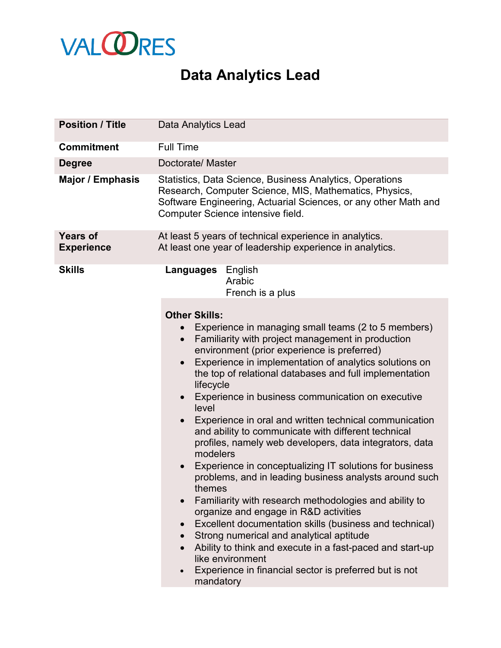

## **Data Analytics Lead**

| <b>Position / Title</b>              | <b>Data Analytics Lead</b>                                                                                                                                                                                                                                                                                                                                                                                                                                                                                                                                                                                                                                                                                                                                                                                                                                                                                                                                                                                                                                                                                                                               |
|--------------------------------------|----------------------------------------------------------------------------------------------------------------------------------------------------------------------------------------------------------------------------------------------------------------------------------------------------------------------------------------------------------------------------------------------------------------------------------------------------------------------------------------------------------------------------------------------------------------------------------------------------------------------------------------------------------------------------------------------------------------------------------------------------------------------------------------------------------------------------------------------------------------------------------------------------------------------------------------------------------------------------------------------------------------------------------------------------------------------------------------------------------------------------------------------------------|
| <b>Commitment</b>                    | <b>Full Time</b>                                                                                                                                                                                                                                                                                                                                                                                                                                                                                                                                                                                                                                                                                                                                                                                                                                                                                                                                                                                                                                                                                                                                         |
| <b>Degree</b>                        | Doctorate/ Master                                                                                                                                                                                                                                                                                                                                                                                                                                                                                                                                                                                                                                                                                                                                                                                                                                                                                                                                                                                                                                                                                                                                        |
| <b>Major / Emphasis</b>              | Statistics, Data Science, Business Analytics, Operations<br>Research, Computer Science, MIS, Mathematics, Physics,<br>Software Engineering, Actuarial Sciences, or any other Math and<br>Computer Science intensive field.                                                                                                                                                                                                                                                                                                                                                                                                                                                                                                                                                                                                                                                                                                                                                                                                                                                                                                                               |
| <b>Years of</b><br><b>Experience</b> | At least 5 years of technical experience in analytics.<br>At least one year of leadership experience in analytics.                                                                                                                                                                                                                                                                                                                                                                                                                                                                                                                                                                                                                                                                                                                                                                                                                                                                                                                                                                                                                                       |
| <b>Skills</b>                        | English<br>Languages<br>Arabic<br>French is a plus<br><b>Other Skills:</b><br>Experience in managing small teams (2 to 5 members)<br>Familiarity with project management in production<br>$\bullet$<br>environment (prior experience is preferred)<br>Experience in implementation of analytics solutions on<br>$\bullet$<br>the top of relational databases and full implementation<br>lifecycle<br>Experience in business communication on executive<br>level<br>Experience in oral and written technical communication<br>and ability to communicate with different technical<br>profiles, namely web developers, data integrators, data<br>modelers<br>Experience in conceptualizing IT solutions for business<br>problems, and in leading business analysts around such<br>themes<br>Familiarity with research methodologies and ability to<br>organize and engage in R&D activities<br>Excellent documentation skills (business and technical)<br>Strong numerical and analytical aptitude<br>$\bullet$<br>Ability to think and execute in a fast-paced and start-up<br>like environment<br>Experience in financial sector is preferred but is not |
|                                      | mandatory                                                                                                                                                                                                                                                                                                                                                                                                                                                                                                                                                                                                                                                                                                                                                                                                                                                                                                                                                                                                                                                                                                                                                |